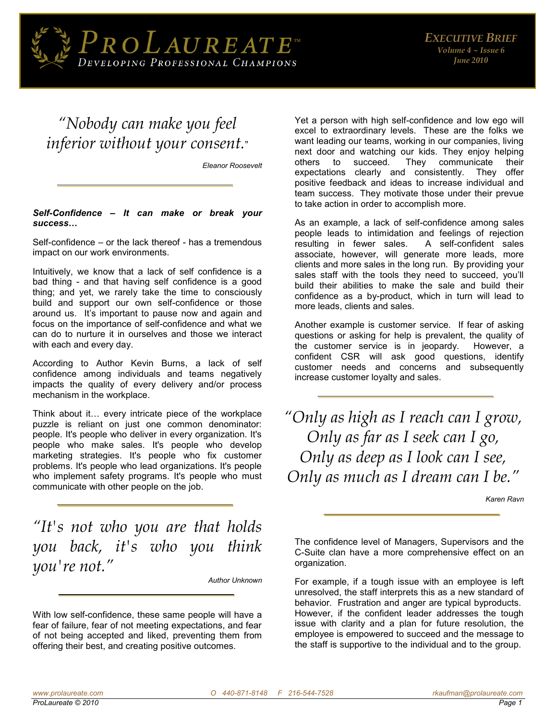

## *"Nobody can make you feel inferior without your consent.*"

*Eleanor Roosevelt* 

## *Self-Confidence – It can make or break your success…*

Self-confidence – or the lack thereof - has a tremendous impact on our work environments.

Intuitively, we know that a lack of self confidence is a bad thing - and that having self confidence is a good thing; and yet, we rarely take the time to consciously build and support our own self-confidence or those around us. It's important to pause now and again and focus on the importance of self-confidence and what we can do to nurture it in ourselves and those we interact with each and every day.

According to Author Kevin Burns, a lack of self confidence among individuals and teams negatively impacts the quality of every delivery and/or process mechanism in the workplace.

Think about it… every intricate piece of the workplace puzzle is reliant on just one common denominator: people. It's people who deliver in every organization. It's people who make sales. It's people who develop marketing strategies. It's people who fix customer problems. It's people who lead organizations. It's people who implement safety programs. It's people who must communicate with other people on the job.

*"It's not who you are that holds you back, it's who you think you're not."*

*Author Unknown* 

With low self-confidence, these same people will have a fear of failure, fear of not meeting expectations, and fear of not being accepted and liked, preventing them from offering their best, and creating positive outcomes.

Yet a person with high self-confidence and low ego will excel to extraordinary levels. These are the folks we want leading our teams, working in our companies, living next door and watching our kids. They enjoy helping others to succeed. They communicate their expectations clearly and consistently. They offer positive feedback and ideas to increase individual and team success. They motivate those under their prevue to take action in order to accomplish more.

As an example, a lack of self-confidence among sales people leads to intimidation and feelings of rejection resulting in fewer sales. A self-confident sales associate, however, will generate more leads, more clients and more sales in the long run. By providing your sales staff with the tools they need to succeed, you'll build their abilities to make the sale and build their confidence as a by-product, which in turn will lead to more leads, clients and sales.

Another example is customer service. If fear of asking questions or asking for help is prevalent, the quality of the customer service is in jeopardy. However, a confident CSR will ask good questions, identify customer needs and concerns and subsequently increase customer loyalty and sales.

*"Only as high as I reach can I grow, Only as far as I seek can I go, Only as deep as I look can I see, Only as much as I dream can I be."*

*Karen Ravn*

The confidence level of Managers, Supervisors and the C-Suite clan have a more comprehensive effect on an organization.

For example, if a tough issue with an employee is left unresolved, the staff interprets this as a new standard of behavior. Frustration and anger are typical byproducts. However, if the confident leader addresses the tough issue with clarity and a plan for future resolution, the employee is empowered to succeed and the message to the staff is supportive to the individual and to the group.